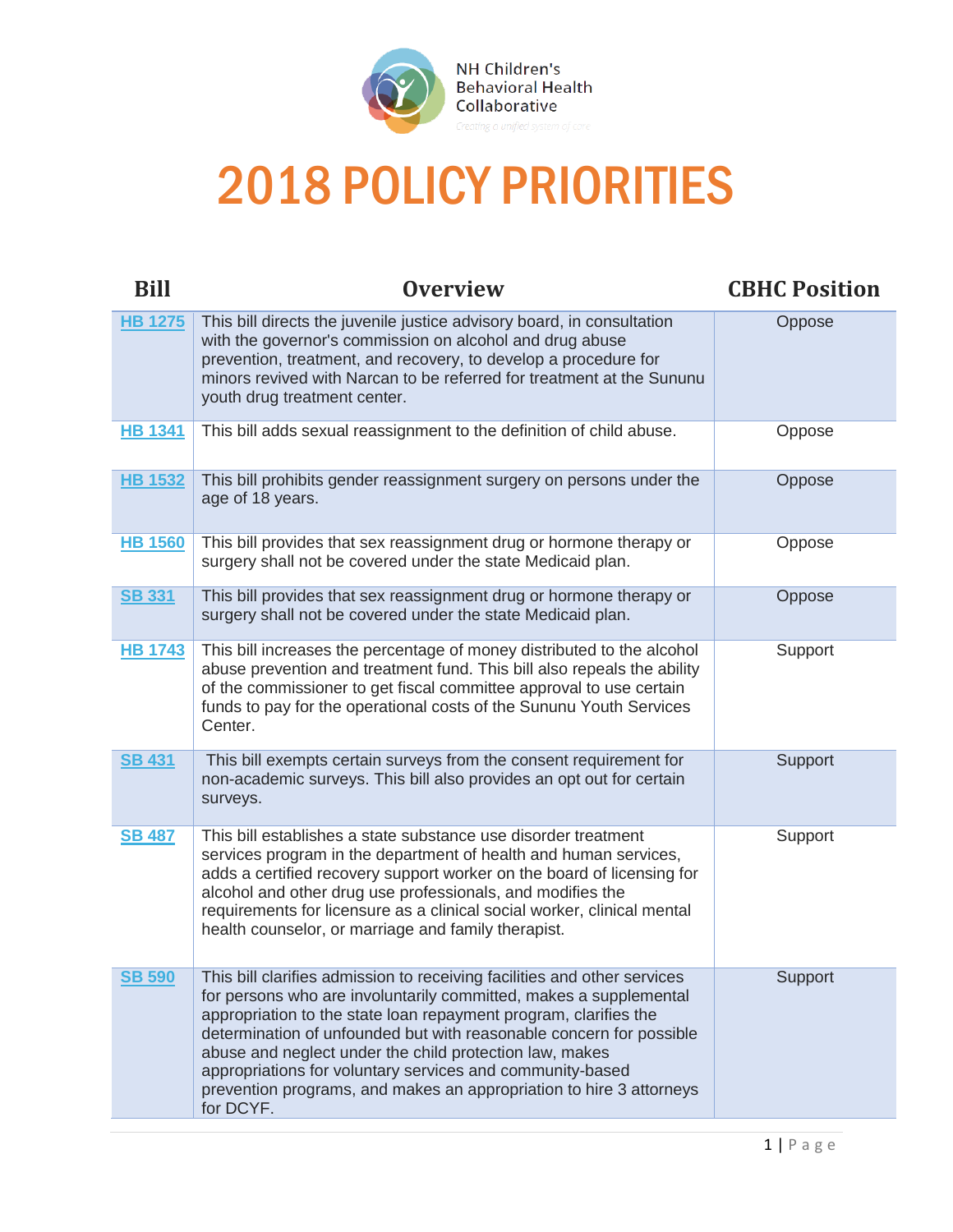

## 2018 POLICY PRIORITIES

| <b>Bill</b>    | <b>Overview</b>                                                                                                                                                                                                                                                                                                                                                                                                                                                                                      | <b>CBHC Position</b> |
|----------------|------------------------------------------------------------------------------------------------------------------------------------------------------------------------------------------------------------------------------------------------------------------------------------------------------------------------------------------------------------------------------------------------------------------------------------------------------------------------------------------------------|----------------------|
| <b>HB 1275</b> | This bill directs the juvenile justice advisory board, in consultation<br>with the governor's commission on alcohol and drug abuse<br>prevention, treatment, and recovery, to develop a procedure for<br>minors revived with Narcan to be referred for treatment at the Sununu<br>youth drug treatment center.                                                                                                                                                                                       | Oppose               |
| <b>HB 1341</b> | This bill adds sexual reassignment to the definition of child abuse.                                                                                                                                                                                                                                                                                                                                                                                                                                 | Oppose               |
| <b>HB 1532</b> | This bill prohibits gender reassignment surgery on persons under the<br>age of 18 years.                                                                                                                                                                                                                                                                                                                                                                                                             | Oppose               |
| <b>HB 1560</b> | This bill provides that sex reassignment drug or hormone therapy or<br>surgery shall not be covered under the state Medicaid plan.                                                                                                                                                                                                                                                                                                                                                                   | Oppose               |
| <b>SB 331</b>  | This bill provides that sex reassignment drug or hormone therapy or<br>surgery shall not be covered under the state Medicaid plan.                                                                                                                                                                                                                                                                                                                                                                   | Oppose               |
| <b>HB 1743</b> | This bill increases the percentage of money distributed to the alcohol<br>abuse prevention and treatment fund. This bill also repeals the ability<br>of the commissioner to get fiscal committee approval to use certain<br>funds to pay for the operational costs of the Sununu Youth Services<br>Center.                                                                                                                                                                                           | Support              |
| <b>SB 431</b>  | This bill exempts certain surveys from the consent requirement for<br>non-academic surveys. This bill also provides an opt out for certain<br>surveys.                                                                                                                                                                                                                                                                                                                                               | Support              |
| <b>SB 487</b>  | This bill establishes a state substance use disorder treatment<br>services program in the department of health and human services,<br>adds a certified recovery support worker on the board of licensing for<br>alcohol and other drug use professionals, and modifies the<br>requirements for licensure as a clinical social worker, clinical mental<br>health counselor, or marriage and family therapist.                                                                                         | Support              |
| <b>SB 590</b>  | This bill clarifies admission to receiving facilities and other services<br>for persons who are involuntarily committed, makes a supplemental<br>appropriation to the state loan repayment program, clarifies the<br>determination of unfounded but with reasonable concern for possible<br>abuse and neglect under the child protection law, makes<br>appropriations for voluntary services and community-based<br>prevention programs, and makes an appropriation to hire 3 attorneys<br>for DCYF. | Support              |